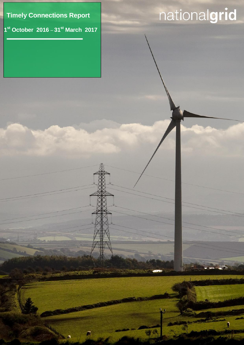**Timely Connections Report**

**1 st October 2016** – **31st March 2017**

 $\sqrt{2}$ 

<u>, п</u>

# nationalgrid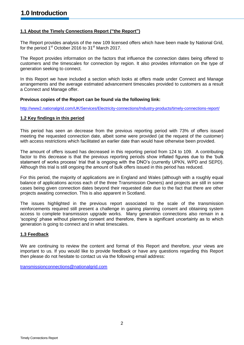# **1.1 About the Timely Connections Report ("the Report")**

The Report provides analysis of the new 109 licensed offers which have been made by National Grid, for the period 1<sup>st</sup> October 2016 to 31<sup>st</sup> March 2017.

The Report provides information on the factors that influence the connection dates being offered to customers and the timescales for connection by region. It also provides information on the type of generation seeking to connect.

In this Report we have included a section which looks at offers made under Connect and Manage arrangements and the average estimated advancement timescales provided to customers as a result a Connect and Manage offer.

# **Previous copies of the Report can be found via the following link:**

<http://www2.nationalgrid.com/UK/Services/Electricity-connections/Industry-products/timely-connections-report/>

# **1.2 Key findings in this period**

This period has seen an decrease from the previous reporting period with 73% of offers issued meeting the requested connection date, albeit some were provided (at the request of the customer) with access restrictions which facilitated an earlier date than would have otherwise been provided.

The amount of offers issued has decreased in this reporting period from 124 to 109. A contributing factor to this decrease is that the previous reporting periods show inflated figures due to the 'bulk statement of works process' trial that is ongoing with the DNO's (currently UPKN, WPD and SEPD). Although this trial is still ongoing the amount of bulk offers issued in this period has reduced.

For this period, the majority of applications are in England and Wales (although with a roughly equal balance of applications across each of the three Transmission Owners) and projects are still in some cases being given connection dates beyond their requested date due to the fact that there are other projects awaiting connection. This is also apparent in Scotland.

The issues highlighted in the previous report associated to the scale of the transmission reinforcements required still present a challenge in gaining planning consent and obtaining system access to complete transmission upgrade works. Many generation connections also remain in a 'scoping' phase without planning consent and therefore, there is significant uncertainty as to which generation is going to connect and in what timescales.

# **1.3 Feedback**

We are continuing to review the content and format of this Report and therefore, your views are important to us. If you would like to provide feedback or have any questions regarding this Report then please do not hesitate to contact us via the following email address:

[transmissionconnections@nationalgrid.com](mailto:transmissionconnections@nationalgrid.com)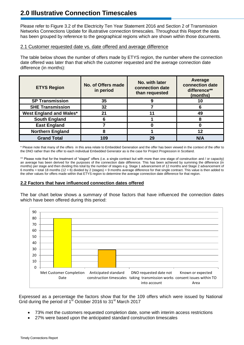# **2.0 Illustrative Connection Timescales**

Please refer to Figure 3.2 of the Electricity Ten Year Statement 2016 and Section 2 of Transmission Networks Connections Update for illustrative connection timescales. Throughout this Report the data has been grouped by reference to the geographical regions which are shown within those documents.

# 2.1 Customer requested date vs. date offered and average difference

The table below shows the number of offers made by ETYS region, the number where the connection date offered was later than that which the customer requested and the average connection date difference (in months):

| <b>ETYS Region</b>             | No. with later<br>No. of Offers made<br>connection date<br>in period<br>than requested |    | Average<br>connection date<br>difference**<br>(months) |  |
|--------------------------------|----------------------------------------------------------------------------------------|----|--------------------------------------------------------|--|
| <b>SP Transmission</b>         | 35                                                                                     |    | 10                                                     |  |
| <b>SHE Transmission</b>        | 32                                                                                     |    | 6                                                      |  |
| <b>West England and Wales*</b> | 21                                                                                     | 11 | 49                                                     |  |
| <b>South England</b>           |                                                                                        |    | 8                                                      |  |
| <b>East England</b>            |                                                                                        |    |                                                        |  |
| <b>Northern England</b>        |                                                                                        |    | 12                                                     |  |
| <b>Grand Total</b>             | 109                                                                                    | 29 | N/A                                                    |  |

\* Please note that many of the offers in this area relate to Embedded Generation and the offer has been viewed in the context of the offer to the DNO rather than the offer to each individual Embedded Generator as is the case for Project Progression in Scotland.

\*\* Please note that for the treatment of "staged" offers (i.e. a single contract but with more than one stage of construction and / or capacity) an average has been derived for the purposes of the connection date difference. This has been achieved by summing the difference (in months) per stage and then dividing this total by the number of stages e.g. Stage 1 advancement of 12 months and Stage 2 advancement of 6 months = total 18 months (12 + 6) divided by 2 (stages) = 9 months average difference for that single contract. This value is then added to the other values for offers made within that ETYS region to determine the average connection date difference for that region.

# **2.2 Factors that have influenced connection dates offered**

The bar chart below shows a summary of those factors that have influenced the connection dates which have been offered during this period:



Expressed as a percentage the factors show that for the 109 offers which were issued by National Grid during the period of 1<sup>st</sup> October 2016 to 31<sup>st</sup> March 2017

- 73% met the customers requested completion date, some with interim access restrictions
- 27% were based upon the anticipated standard construction timescales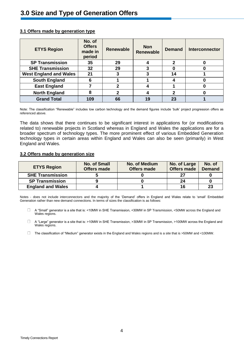| <b>ETYS Region</b>            | No. of<br><b>Offers</b><br>made in<br>period | <b>Renewable</b> | <b>Non</b><br><b>Renewable</b> | <b>Demand</b> | <b>Interconnector</b> |
|-------------------------------|----------------------------------------------|------------------|--------------------------------|---------------|-----------------------|
| <b>SP Transmission</b>        | 35                                           | 29               |                                | $\mathbf 2$   |                       |
| <b>SHE Transmission</b>       | 32                                           | 29               |                                |               |                       |
| <b>West England and Wales</b> | 21                                           | 3                |                                | 14            |                       |
| <b>South England</b>          | 6                                            |                  |                                |               |                       |
| <b>East England</b>           |                                              | 2                |                                |               |                       |
| <b>North England</b>          | 8                                            | 2                |                                | 2             |                       |
| <b>Grand Total</b>            | 109                                          | 66               | 19                             | 23            |                       |

# **3.1 Offers made by generation type**

Note: The classification "Renewable" includes low carbon technology and the demand figures include 'bulk' project progression offers as referenced above.

The data shows that there continues to be significant interest in applications for (or modifications related to) renewable projects in Scotland whereas in England and Wales the applications are for a broader spectrum of technology types. The more prominent effect of various Embedded Generation technology types in certain areas within England and Wales can also be seen (primarily) in West England and Wales.

#### **3.2 Offers made by generation size**

| <b>ETYS Region</b>       | <b>No. of Small</b><br><b>Offers made</b> | <b>No. of Medium</b><br><b>Offers made</b> | No. of Large<br><b>Offers made</b> | No. of<br><b>Demand</b> |
|--------------------------|-------------------------------------------|--------------------------------------------|------------------------------------|-------------------------|
| <b>SHE Transmission</b>  |                                           |                                            |                                    |                         |
| <b>SP Transmission</b>   |                                           |                                            | 24                                 |                         |
| <b>England and Wales</b> |                                           |                                            | 16                                 | 23                      |

Notes - does not include interconnectors and the majority of the 'Demand' offers in England and Wales relate to 'small' Embedded Generation rather than new demand connections. In terms of sizes the classification is as follows:

 $\Box$ A "Small" generator is a site that is: <10MW in SHE Transmission, <30MW in SP Transmission, <50MW across the England and Wales regions.

 $\Box$ A "Large" generator is a site that is: >10MW in SHE Transmission, >30MW in SP Transmission, >100MW across the England and Wales regions.

 $\Box$ The classification of "Medium" generator exists in the England and Wales regions and is a site that is >50MW and <100MW.